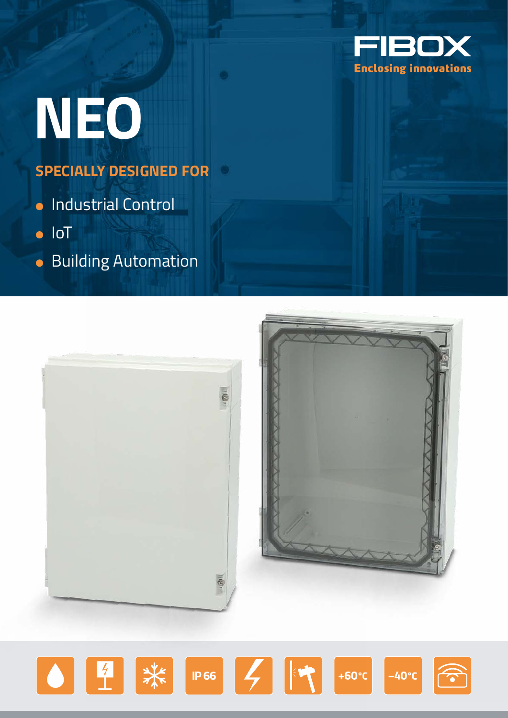

# **NEO**

## **SPECIALLY DESIGNED FOR**

- Industrial Control
- IoT
- **Building Automation**



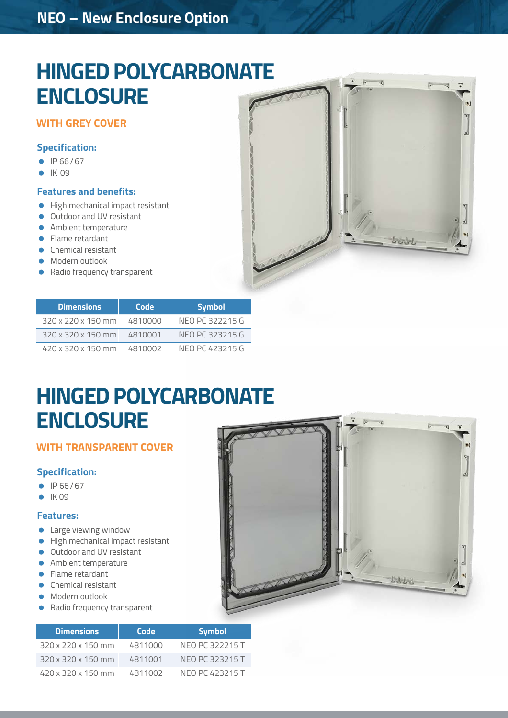### **NEO – New Enclosure Option**

# **HINGED POLYCARBONATE ENCLOSURE**

### **WITH GREY COVER**

### **Specification:**

- IP 66/67
- $\bullet$  IK 09

#### **Features and benefits:**

- High mechanical impact resistant
- **Outdoor and UV resistant**
- **Ambient temperature**
- **•** Flame retardant
- **Chemical resistant**
- Modern outlook
- Radio frequency transparent



 $\odot$ 57

| <b>Dimensions</b>              | Code    | <b>Symbol</b>   |
|--------------------------------|---------|-----------------|
| $320 \times 220 \times 150$ mm | 4810000 | NFO PC 322215 G |
| 320 x 320 x 150 mm 4810001     |         | NFO PC 323215 G |
| $420 \times 320 \times 150$ mm | 4810002 | NFO PC 423215 G |

# **HINGED POLYCARBONATE ENCLOSURE**

### **WITH TRANSPARENT COVER**

### **Specification:**

- $\bullet$  IP 66/67
- $\bullet$  IK 09

#### **Features:**

- **Large viewing window**
- **High mechanical impact resistant**
- **Outdoor and UV resistant**
- **Ambient temperature**
- **•** Flame retardant
- **Chemical resistant**
- **Modern outlook**
- **•** Radio frequency transparent

|  | 进一 | ĸ |
|--|----|---|
|  |    |   |

| <b>Dimensions</b>              | Code    | <b>Symbol</b>   |
|--------------------------------|---------|-----------------|
| $320 \times 220 \times 150$ mm | 4811000 | NFO PC 322215 T |
| 320 x 320 x 150 mm             | 4811001 | NFO PC 323215 T |
| 420 x 320 x 150 mm             | 4811002 | NFO PC 423215 T |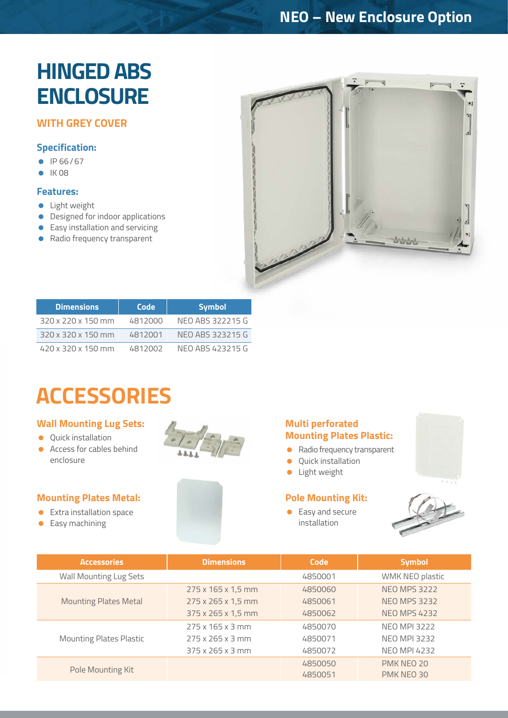### **NEO – New Enclosure Option**

# **HINGED ABS ENCLOSURE**

### **WITH GREY COVER**

### **Specification:**

- IP 66/67
- $\bullet$  IK 08

### **Features:**

- **C** Light weight
- **•** Designed for indoor applications
- **Easy installation and servicing**
- Radio frequency transparent



| <b>Dimensions</b>              | Code    | <b>Symbol</b>    |
|--------------------------------|---------|------------------|
| $320 \times 220 \times 150$ mm | 4812000 | NFO ABS 322215 G |
| 320 x 320 x 150 mm             | 4812001 | NFO ABS 323215 G |
| 420 x 320 x 150 mm             | 4812002 | NFO ABS 423215 G |

# **ACCESSORIES**

### **Wall Mounting Lug Sets:**

- **Ouick installation**
- Access for cables behind enclosure

### **Mounting Plates Metal:**

- **Extra installation space**
- **•** Easy machining





- Radio frequency transparent
- **Quick installation**
- **·** Light weight

### **Pole Mounting Kit:**

● Easy and secure installation





| <b>Accessories</b>             | <b>Dimensions</b>            | Code    | <b>Symbol</b>       |
|--------------------------------|------------------------------|---------|---------------------|
| Wall Mounting Lug Sets         |                              | 4850001 | WMK NEO plastic     |
| <b>Mounting Plates Metal</b>   | 275 x 165 x 1,5 mm           | 4850060 | <b>NEO MPS 3222</b> |
|                                | 275 x 265 x 1,5 mm           | 4850061 | <b>NEO MPS 3232</b> |
|                                | 375 x 265 x 1,5 mm           | 4850062 | <b>NEO MPS 4232</b> |
|                                | $275 \times 165 \times 3$ mm | 4850070 | <b>NEO MPI 3222</b> |
| <b>Mounting Plates Plastic</b> | $275 \times 265 \times 3$ mm | 4850071 | <b>NEO MPI 3232</b> |
|                                | $375 \times 265 \times 3$ mm | 4850072 | <b>NEO MPI 4232</b> |
| Pole Mounting Kit              |                              | 4850050 | PMK NEO 20          |
|                                |                              | 4850051 | PMK NEO 30          |